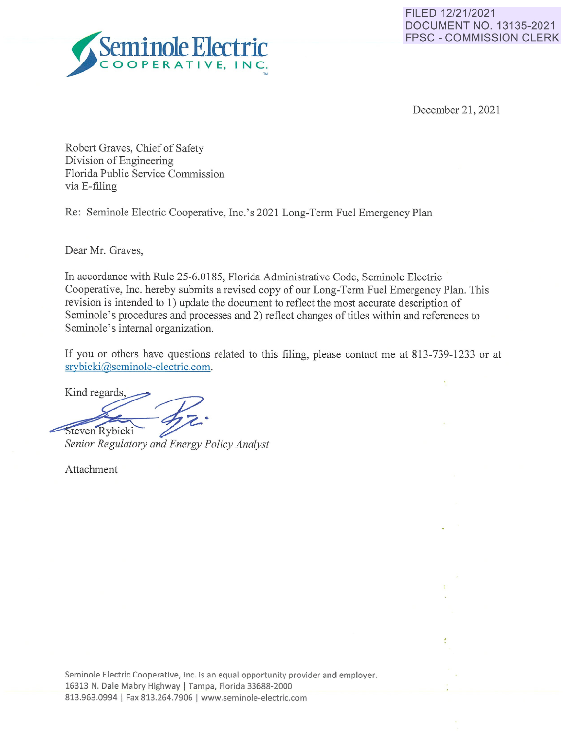



December 21, 2021

ċ

Robert Graves, Chief of Safety Division of Engineering Florida Public Service Commission via E-filing

Re: Seminole Electric Cooperative, Inc.'s 2021 Long-Term Fuel Emergency Plan

Dear Mr. Graves,

In accordance with Rule 25-6.0185, Florida Administrative Code, Seminole Electric Cooperative, Inc. hereby submits a revised copy of our Long-Term Fuel Emergency Plan. This revision is intended to 1) update the document to reflect the most accurate description of Seminole's procedures and processes and 2) reflect changes of titles within and references to Seminole's internal organization.

If you or others have questions related to this filing, please contact me at 813-739-1233 or at srybicki@seminole-electric.com.

Kind regards,

Steven Rybicki Senior Regulatory and Energy Policy Analyst

Attachment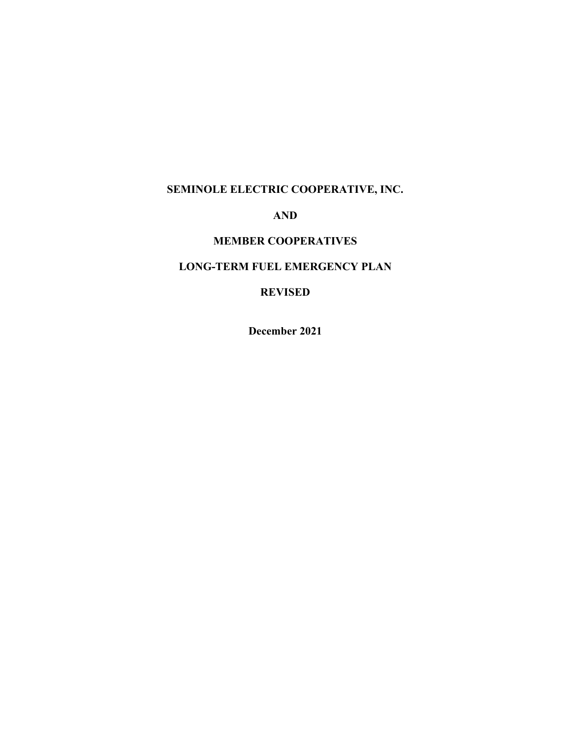# **SEMINOLE ELECTRIC COOPERATIVE, INC.**

# **AND**

# **MEMBER COOPERATIVES**

# **LONG-TERM FUEL EMERGENCY PLAN**

# **REVISED**

**December 2021**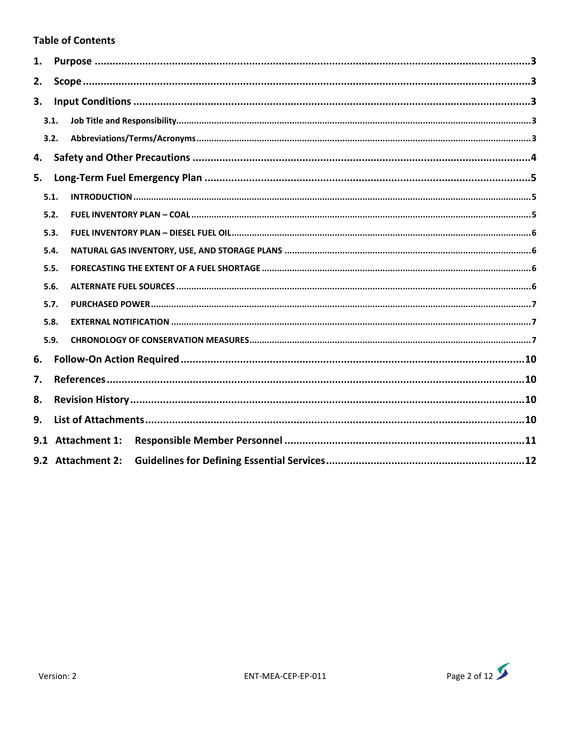## **Table of Contents**

| 1.   |      |                   |  |  |
|------|------|-------------------|--|--|
| 2.   |      |                   |  |  |
| 3.   |      |                   |  |  |
|      | 3.1. |                   |  |  |
|      | 3.2. |                   |  |  |
| 4.   |      |                   |  |  |
| 5.   |      |                   |  |  |
|      | 5.1. |                   |  |  |
|      | 5.2. |                   |  |  |
| 5.3. |      |                   |  |  |
| 5.4. |      |                   |  |  |
| 5.5. |      |                   |  |  |
| 5.6. |      |                   |  |  |
| 5.7. |      |                   |  |  |
|      | 5.8. |                   |  |  |
| 5.9. |      |                   |  |  |
| 6.   |      |                   |  |  |
| 7.   |      |                   |  |  |
| 8.   |      |                   |  |  |
| 9.   |      |                   |  |  |
|      |      | 9.1 Attachment 1: |  |  |
|      |      | 9.2 Attachment 2: |  |  |

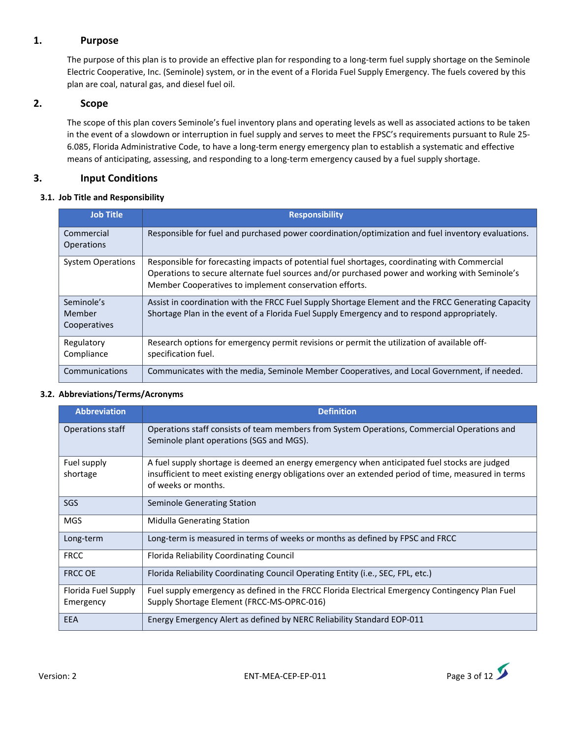## **1. Purpose**

The purpose of this plan is to provide an effective plan for responding to a long-term fuel supply shortage on the Seminole Electric Cooperative, Inc. (Seminole) system, or in the event of a Florida Fuel Supply Emergency. The fuels covered by this plan are coal, natural gas, and diesel fuel oil.

## **2. Scope**

The scope of this plan covers Seminole's fuel inventory plans and operating levels as well as associated actions to be taken in the event of a slowdown or interruption in fuel supply and serves to meet the FPSC's requirements pursuant to Rule 25‐ 6.085, Florida Administrative Code, to have a long‐term energy emergency plan to establish a systematic and effective means of anticipating, assessing, and responding to a long-term emergency caused by a fuel supply shortage.

## **3. Input Conditions**

### **3.1. Job Title and Responsibility**

| <b>Job Title</b>                     | <b>Responsibility</b>                                                                                                                                                                                                                                     |
|--------------------------------------|-----------------------------------------------------------------------------------------------------------------------------------------------------------------------------------------------------------------------------------------------------------|
| Commercial<br><b>Operations</b>      | Responsible for fuel and purchased power coordination/optimization and fuel inventory evaluations.                                                                                                                                                        |
| <b>System Operations</b>             | Responsible for forecasting impacts of potential fuel shortages, coordinating with Commercial<br>Operations to secure alternate fuel sources and/or purchased power and working with Seminole's<br>Member Cooperatives to implement conservation efforts. |
| Seminole's<br>Member<br>Cooperatives | Assist in coordination with the FRCC Fuel Supply Shortage Element and the FRCC Generating Capacity<br>Shortage Plan in the event of a Florida Fuel Supply Emergency and to respond appropriately.                                                         |
| Regulatory<br>Compliance             | Research options for emergency permit revisions or permit the utilization of available off-<br>specification fuel.                                                                                                                                        |
| Communications                       | Communicates with the media, Seminole Member Cooperatives, and Local Government, if needed.                                                                                                                                                               |

### **3.2. Abbreviations/Terms/Acronyms**

| <b>Abbreviation</b>              | <b>Definition</b>                                                                                                                                                                                   |
|----------------------------------|-----------------------------------------------------------------------------------------------------------------------------------------------------------------------------------------------------|
| Operations staff                 | Operations staff consists of team members from System Operations, Commercial Operations and<br>Seminole plant operations (SGS and MGS).                                                             |
| Fuel supply<br>shortage          | A fuel supply shortage is deemed an energy emergency when anticipated fuel stocks are judged<br>insufficient to meet existing energy obligations over an extended period of time, measured in terms |
|                                  | of weeks or months.                                                                                                                                                                                 |
| <b>SGS</b>                       | <b>Seminole Generating Station</b>                                                                                                                                                                  |
| <b>MGS</b>                       | Midulla Generating Station                                                                                                                                                                          |
| Long-term                        | Long-term is measured in terms of weeks or months as defined by FPSC and FRCC                                                                                                                       |
| <b>FRCC</b>                      | Florida Reliability Coordinating Council                                                                                                                                                            |
| <b>FRCC OE</b>                   | Florida Reliability Coordinating Council Operating Entity (i.e., SEC, FPL, etc.)                                                                                                                    |
| Florida Fuel Supply<br>Emergency | Fuel supply emergency as defined in the FRCC Florida Electrical Emergency Contingency Plan Fuel<br>Supply Shortage Element (FRCC-MS-OPRC-016)                                                       |
| EEA                              | Energy Emergency Alert as defined by NERC Reliability Standard EOP-011                                                                                                                              |

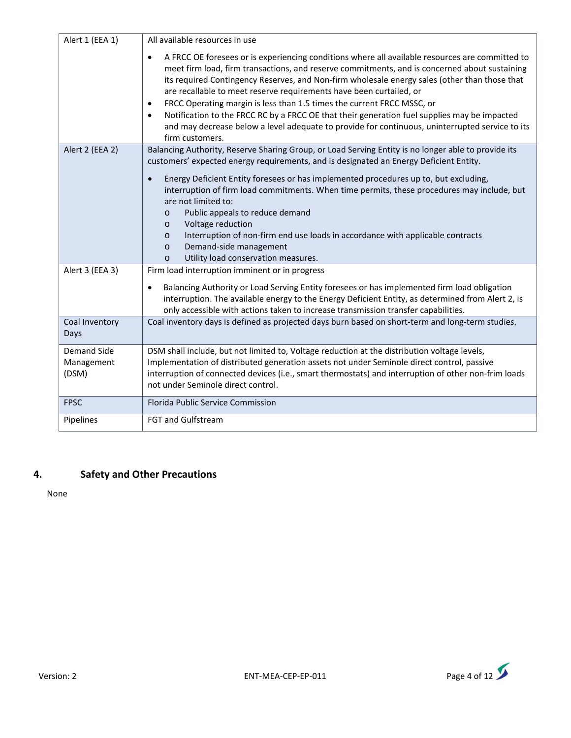| Alert 1 (EEA 1)                           | All available resources in use                                                                                                                                                                                                                                                                                                                                                                                                                                                                                                                                                                                                                                                                                  |
|-------------------------------------------|-----------------------------------------------------------------------------------------------------------------------------------------------------------------------------------------------------------------------------------------------------------------------------------------------------------------------------------------------------------------------------------------------------------------------------------------------------------------------------------------------------------------------------------------------------------------------------------------------------------------------------------------------------------------------------------------------------------------|
|                                           | A FRCC OE foresees or is experiencing conditions where all available resources are committed to<br>$\bullet$<br>meet firm load, firm transactions, and reserve commitments, and is concerned about sustaining<br>its required Contingency Reserves, and Non-firm wholesale energy sales (other than those that<br>are recallable to meet reserve requirements have been curtailed, or<br>FRCC Operating margin is less than 1.5 times the current FRCC MSSC, or<br>$\bullet$<br>Notification to the FRCC RC by a FRCC OE that their generation fuel supplies may be impacted<br>$\bullet$<br>and may decrease below a level adequate to provide for continuous, uninterrupted service to its<br>firm customers. |
| Alert 2 (EEA 2)                           | Balancing Authority, Reserve Sharing Group, or Load Serving Entity is no longer able to provide its<br>customers' expected energy requirements, and is designated an Energy Deficient Entity.                                                                                                                                                                                                                                                                                                                                                                                                                                                                                                                   |
|                                           | Energy Deficient Entity foresees or has implemented procedures up to, but excluding,<br>$\bullet$<br>interruption of firm load commitments. When time permits, these procedures may include, but<br>are not limited to:<br>Public appeals to reduce demand<br>$\circ$<br>Voltage reduction<br>$\circ$<br>Interruption of non-firm end use loads in accordance with applicable contracts<br>$\circ$                                                                                                                                                                                                                                                                                                              |
|                                           | Demand-side management<br>$\circ$<br>Utility load conservation measures.<br>$\circ$                                                                                                                                                                                                                                                                                                                                                                                                                                                                                                                                                                                                                             |
| Alert 3 (EEA 3)                           | Firm load interruption imminent or in progress                                                                                                                                                                                                                                                                                                                                                                                                                                                                                                                                                                                                                                                                  |
|                                           | Balancing Authority or Load Serving Entity foresees or has implemented firm load obligation<br>$\bullet$<br>interruption. The available energy to the Energy Deficient Entity, as determined from Alert 2, is<br>only accessible with actions taken to increase transmission transfer capabilities.                                                                                                                                                                                                                                                                                                                                                                                                             |
| Coal Inventory<br>Days                    | Coal inventory days is defined as projected days burn based on short-term and long-term studies.                                                                                                                                                                                                                                                                                                                                                                                                                                                                                                                                                                                                                |
| <b>Demand Side</b><br>Management<br>(DSM) | DSM shall include, but not limited to, Voltage reduction at the distribution voltage levels,<br>Implementation of distributed generation assets not under Seminole direct control, passive<br>interruption of connected devices (i.e., smart thermostats) and interruption of other non-frim loads<br>not under Seminole direct control.                                                                                                                                                                                                                                                                                                                                                                        |
| <b>FPSC</b>                               | Florida Public Service Commission                                                                                                                                                                                                                                                                                                                                                                                                                                                                                                                                                                                                                                                                               |
| Pipelines                                 | FGT and Gulfstream                                                                                                                                                                                                                                                                                                                                                                                                                                                                                                                                                                                                                                                                                              |

# **4. Safety and Other Precautions**

None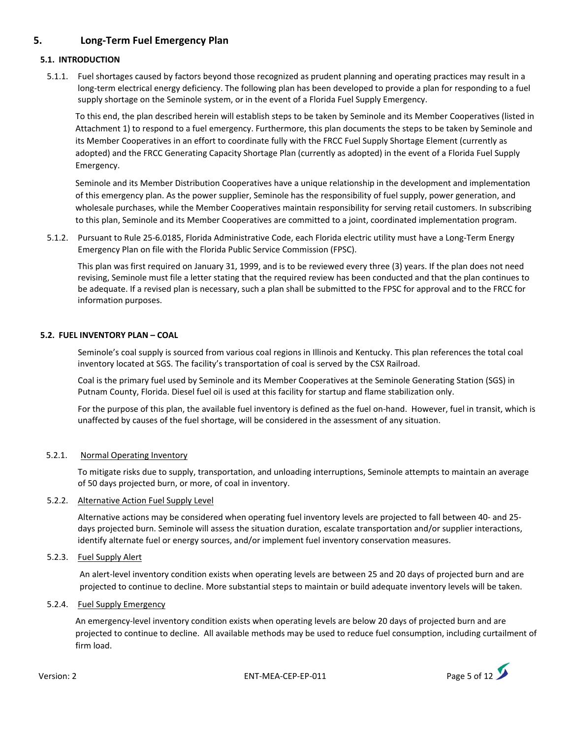## **5. Long‐Term Fuel Emergency Plan**

### **5.1. INTRODUCTION**

5.1.1. Fuel shortages caused by factors beyond those recognized as prudent planning and operating practices may result in a long‐term electrical energy deficiency. The following plan has been developed to provide a plan for responding to a fuel supply shortage on the Seminole system, or in the event of a Florida Fuel Supply Emergency.

To this end, the plan described herein will establish steps to be taken by Seminole and its Member Cooperatives (listed in Attachment 1) to respond to a fuel emergency. Furthermore, this plan documents the steps to be taken by Seminole and its Member Cooperatives in an effort to coordinate fully with the FRCC Fuel Supply Shortage Element (currently as adopted) and the FRCC Generating Capacity Shortage Plan (currently as adopted) in the event of a Florida Fuel Supply Emergency.

Seminole and its Member Distribution Cooperatives have a unique relationship in the development and implementation of this emergency plan. As the power supplier, Seminole has the responsibility of fuel supply, power generation, and wholesale purchases, while the Member Cooperatives maintain responsibility for serving retail customers. In subscribing to this plan, Seminole and its Member Cooperatives are committed to a joint, coordinated implementation program.

5.1.2. Pursuant to Rule 25‐6.0185, Florida Administrative Code, each Florida electric utility must have a Long‐Term Energy Emergency Plan on file with the Florida Public Service Commission (FPSC).

This plan was first required on January 31, 1999, and is to be reviewed every three (3) years. If the plan does not need revising, Seminole must file a letter stating that the required review has been conducted and that the plan continues to be adequate. If a revised plan is necessary, such a plan shall be submitted to the FPSC for approval and to the FRCC for information purposes.

#### **5.2. FUEL INVENTORY PLAN – COAL**

Seminole's coal supply is sourced from various coal regions in Illinois and Kentucky. This plan references the total coal inventory located at SGS. The facility's transportation of coal is served by the CSX Railroad.

Coal is the primary fuel used by Seminole and its Member Cooperatives at the Seminole Generating Station (SGS) in Putnam County, Florida. Diesel fuel oil is used at this facility for startup and flame stabilization only.

For the purpose of this plan, the available fuel inventory is defined as the fuel on-hand. However, fuel in transit, which is unaffected by causes of the fuel shortage, will be considered in the assessment of any situation.

### 5.2.1. Normal Operating Inventory

To mitigate risks due to supply, transportation, and unloading interruptions, Seminole attempts to maintain an average of 50 days projected burn, or more, of coal in inventory.

#### 5.2.2. Alternative Action Fuel Supply Level

Alternative actions may be considered when operating fuel inventory levels are projected to fall between 40‐ and 25‐ days projected burn. Seminole will assess the situation duration, escalate transportation and/or supplier interactions, identify alternate fuel or energy sources, and/or implement fuel inventory conservation measures.

#### 5.2.3. Fuel Supply Alert

An alert-level inventory condition exists when operating levels are between 25 and 20 days of projected burn and are projected to continue to decline. More substantial steps to maintain or build adequate inventory levels will be taken.

#### 5.2.4. Fuel Supply Emergency

An emergency‐level inventory condition exists when operating levels are below 20 days of projected burn and are projected to continue to decline. All available methods may be used to reduce fuel consumption, including curtailment of firm load.

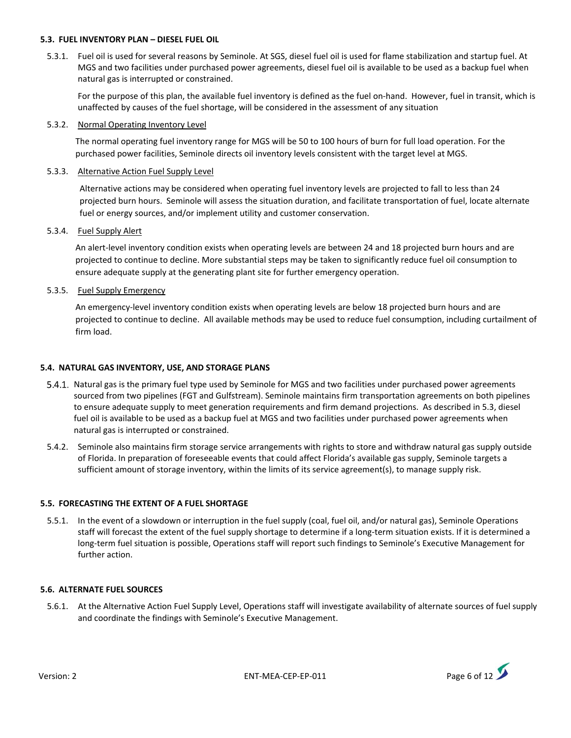#### **5.3. FUEL INVENTORY PLAN – DIESEL FUEL OIL**

5.3.1. Fuel oil is used for several reasons by Seminole. At SGS, diesel fuel oil is used for flame stabilization and startup fuel. At MGS and two facilities under purchased power agreements, diesel fuel oil is available to be used as a backup fuel when natural gas is interrupted or constrained.

For the purpose of this plan, the available fuel inventory is defined as the fuel on-hand. However, fuel in transit, which is unaffected by causes of the fuel shortage, will be considered in the assessment of any situation

#### 5.3.2. Normal Operating Inventory Level

The normal operating fuel inventory range for MGS will be 50 to 100 hours of burn for full load operation. For the purchased power facilities, Seminole directs oil inventory levels consistent with the target level at MGS.

#### 5.3.3. Alternative Action Fuel Supply Level

 Alternative actions may be considered when operating fuel inventory levels are projected to fall to less than 24 projected burn hours. Seminole will assess the situation duration, and facilitate transportation of fuel, locate alternate fuel or energy sources, and/or implement utility and customer conservation.

#### 5.3.4. Fuel Supply Alert

An alert-level inventory condition exists when operating levels are between 24 and 18 projected burn hours and are projected to continue to decline. More substantial steps may be taken to significantly reduce fuel oil consumption to ensure adequate supply at the generating plant site for further emergency operation.

#### 5.3.5. Fuel Supply Emergency

An emergency‐level inventory condition exists when operating levels are below 18 projected burn hours and are projected to continue to decline. All available methods may be used to reduce fuel consumption, including curtailment of firm load.

#### **5.4. NATURAL GAS INVENTORY, USE, AND STORAGE PLANS**

- 5.4.1. Natural gas is the primary fuel type used by Seminole for MGS and two facilities under purchased power agreements sourced from two pipelines (FGT and Gulfstream). Seminole maintains firm transportation agreements on both pipelines to ensure adequate supply to meet generation requirements and firm demand projections. As described in 5.3, diesel fuel oil is available to be used as a backup fuel at MGS and two facilities under purchased power agreements when natural gas is interrupted or constrained.
- 5.4.2. Seminole also maintains firm storage service arrangements with rights to store and withdraw natural gas supply outside of Florida. In preparation of foreseeable events that could affect Florida's available gas supply, Seminole targets a sufficient amount of storage inventory, within the limits of its service agreement(s), to manage supply risk.

#### **5.5. FORECASTING THE EXTENT OF A FUEL SHORTAGE**

5.5.1. In the event of a slowdown or interruption in the fuel supply (coal, fuel oil, and/or natural gas), Seminole Operations staff will forecast the extent of the fuel supply shortage to determine if a long-term situation exists. If it is determined a long‐term fuel situation is possible, Operations staff will report such findings to Seminole's Executive Management for further action.

#### **5.6. ALTERNATE FUEL SOURCES**

5.6.1. At the Alternative Action Fuel Supply Level, Operations staff will investigate availability of alternate sources of fuel supply and coordinate the findings with Seminole's Executive Management.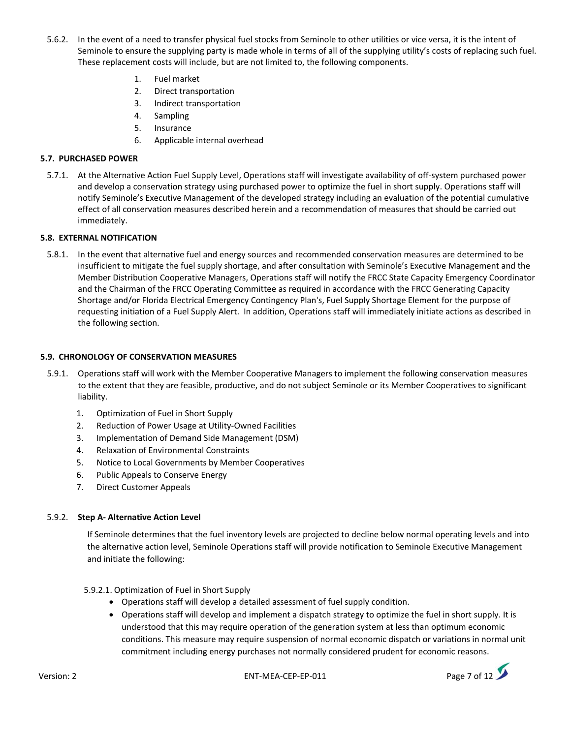- 5.6.2. In the event of a need to transfer physical fuel stocks from Seminole to other utilities or vice versa, it is the intent of Seminole to ensure the supplying party is made whole in terms of all of the supplying utility's costs of replacing such fuel. These replacement costs will include, but are not limited to, the following components.
	- 1. Fuel market
	- 2. Direct transportation
	- 3. Indirect transportation
	- 4. Sampling
	- 5. Insurance
	- 6. Applicable internal overhead

#### **5.7. PURCHASED POWER**

5.7.1. At the Alternative Action Fuel Supply Level, Operations staff will investigate availability of off‐system purchased power and develop a conservation strategy using purchased power to optimize the fuel in short supply. Operations staff will notify Seminole's Executive Management of the developed strategy including an evaluation of the potential cumulative effect of all conservation measures described herein and a recommendation of measures that should be carried out immediately.

#### **5.8. EXTERNAL NOTIFICATION**

5.8.1. In the event that alternative fuel and energy sources and recommended conservation measures are determined to be insufficient to mitigate the fuel supply shortage, and after consultation with Seminole's Executive Management and the Member Distribution Cooperative Managers, Operations staff will notify the FRCC State Capacity Emergency Coordinator and the Chairman of the FRCC Operating Committee as required in accordance with the FRCC Generating Capacity Shortage and/or Florida Electrical Emergency Contingency Plan's, Fuel Supply Shortage Element for the purpose of requesting initiation of a Fuel Supply Alert. In addition, Operations staff will immediately initiate actions as described in the following section.

#### **5.9. CHRONOLOGY OF CONSERVATION MEASURES**

- 5.9.1. Operations staff will work with the Member Cooperative Managers to implement the following conservation measures to the extent that they are feasible, productive, and do not subject Seminole or its Member Cooperatives to significant liability.
	- 1. Optimization of Fuel in Short Supply
	- 2. Reduction of Power Usage at Utility‐Owned Facilities
	- 3. Implementation of Demand Side Management (DSM)
	- 4. Relaxation of Environmental Constraints
	- 5. Notice to Local Governments by Member Cooperatives
	- 6. Public Appeals to Conserve Energy
	- 7. Direct Customer Appeals

#### 5.9.2. **Step A‐ Alternative Action Level**

If Seminole determines that the fuel inventory levels are projected to decline below normal operating levels and into the alternative action level, Seminole Operations staff will provide notification to Seminole Executive Management and initiate the following:

5.9.2.1. Optimization of Fuel in Short Supply

- Operations staff will develop a detailed assessment of fuel supply condition.
- Operations staff will develop and implement a dispatch strategy to optimize the fuel in short supply. It is understood that this may require operation of the generation system at less than optimum economic conditions. This measure may require suspension of normal economic dispatch or variations in normal unit commitment including energy purchases not normally considered prudent for economic reasons.

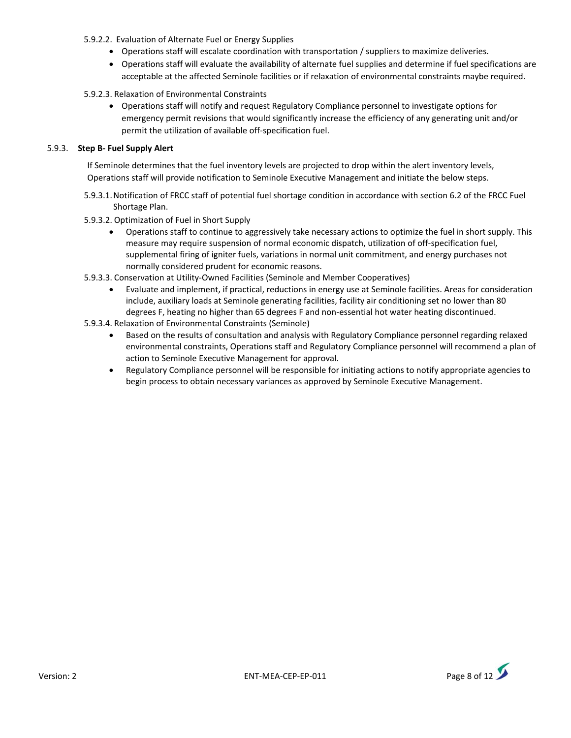- 5.9.2.2. Evaluation of Alternate Fuel or Energy Supplies
	- Operations staff will escalate coordination with transportation / suppliers to maximize deliveries.
	- Operations staff will evaluate the availability of alternate fuel supplies and determine if fuel specifications are acceptable at the affected Seminole facilities or if relaxation of environmental constraints maybe required.
- 5.9.2.3. Relaxation of Environmental Constraints
	- Operations staff will notify and request Regulatory Compliance personnel to investigate options for emergency permit revisions that would significantly increase the efficiency of any generating unit and/or permit the utilization of available off‐specification fuel.

#### 5.9.3. **Step B‐ Fuel Supply Alert**

If Seminole determines that the fuel inventory levels are projected to drop within the alert inventory levels, Operations staff will provide notification to Seminole Executive Management and initiate the below steps.

- 5.9.3.1.Notification of FRCC staff of potential fuel shortage condition in accordance with section 6.2 of the FRCC Fuel Shortage Plan.
- 5.9.3.2. Optimization of Fuel in Short Supply
	- Operations staff to continue to aggressively take necessary actions to optimize the fuel in short supply. This measure may require suspension of normal economic dispatch, utilization of off‐specification fuel, supplemental firing of igniter fuels, variations in normal unit commitment, and energy purchases not normally considered prudent for economic reasons.
- 5.9.3.3. Conservation at Utility‐Owned Facilities (Seminole and Member Cooperatives)
	- Evaluate and implement, if practical, reductions in energy use at Seminole facilities. Areas for consideration include, auxiliary loads at Seminole generating facilities, facility air conditioning set no lower than 80 degrees F, heating no higher than 65 degrees F and non-essential hot water heating discontinued.
- 5.9.3.4. Relaxation of Environmental Constraints (Seminole)
	- Based on the results of consultation and analysis with Regulatory Compliance personnel regarding relaxed environmental constraints, Operations staff and Regulatory Compliance personnel will recommend a plan of action to Seminole Executive Management for approval.
	- Regulatory Compliance personnel will be responsible for initiating actions to notify appropriate agencies to begin process to obtain necessary variances as approved by Seminole Executive Management.

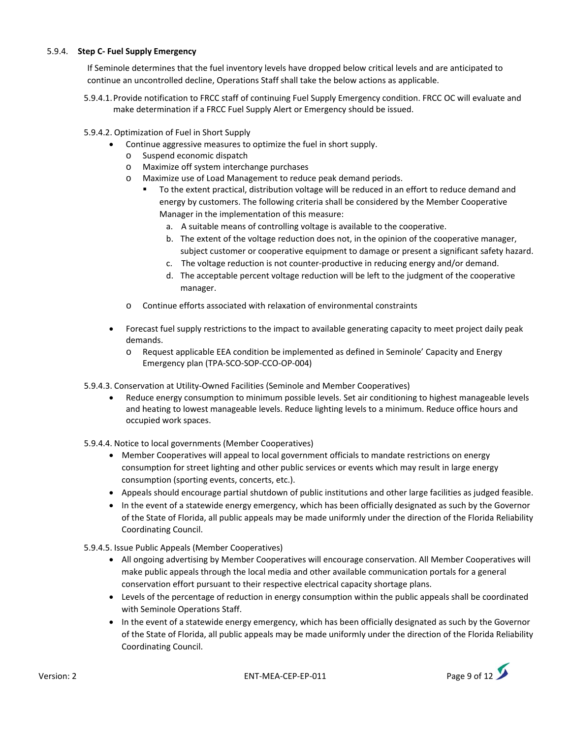#### 5.9.4. **Step C‐ Fuel Supply Emergency**

If Seminole determines that the fuel inventory levels have dropped below critical levels and are anticipated to continue an uncontrolled decline, Operations Staff shall take the below actions as applicable.

- 5.9.4.1.Provide notification to FRCC staff of continuing Fuel Supply Emergency condition. FRCC OC will evaluate and make determination if a FRCC Fuel Supply Alert or Emergency should be issued.
- 5.9.4.2. Optimization of Fuel in Short Supply
	- Continue aggressive measures to optimize the fuel in short supply.
		- o Suspend economic dispatch
		- o Maximize off system interchange purchases
		- o Maximize use of Load Management to reduce peak demand periods.
			- To the extent practical, distribution voltage will be reduced in an effort to reduce demand and energy by customers. The following criteria shall be considered by the Member Cooperative Manager in the implementation of this measure:
				- a. A suitable means of controlling voltage is available to the cooperative.
				- b. The extent of the voltage reduction does not, in the opinion of the cooperative manager, subject customer or cooperative equipment to damage or present a significant safety hazard.
				- c. The voltage reduction is not counter‐productive in reducing energy and/or demand.
				- d. The acceptable percent voltage reduction will be left to the judgment of the cooperative manager.
		- o Continue efforts associated with relaxation of environmental constraints
	- Forecast fuel supply restrictions to the impact to available generating capacity to meet project daily peak demands.
		- o Request applicable EEA condition be implemented as defined in Seminole' Capacity and Energy Emergency plan (TPA‐SCO‐SOP‐CCO‐OP‐004)
- 5.9.4.3. Conservation at Utility‐Owned Facilities (Seminole and Member Cooperatives)
	- Reduce energy consumption to minimum possible levels. Set air conditioning to highest manageable levels and heating to lowest manageable levels. Reduce lighting levels to a minimum. Reduce office hours and occupied work spaces.
- 5.9.4.4. Notice to local governments (Member Cooperatives)
	- Member Cooperatives will appeal to local government officials to mandate restrictions on energy consumption for street lighting and other public services or events which may result in large energy consumption (sporting events, concerts, etc.).
	- Appeals should encourage partial shutdown of public institutions and other large facilities as judged feasible.
	- In the event of a statewide energy emergency, which has been officially designated as such by the Governor of the State of Florida, all public appeals may be made uniformly under the direction of the Florida Reliability Coordinating Council.
- 5.9.4.5. Issue Public Appeals (Member Cooperatives)
	- All ongoing advertising by Member Cooperatives will encourage conservation. All Member Cooperatives will make public appeals through the local media and other available communication portals for a general conservation effort pursuant to their respective electrical capacity shortage plans.
	- Levels of the percentage of reduction in energy consumption within the public appeals shall be coordinated with Seminole Operations Staff.
	- In the event of a statewide energy emergency, which has been officially designated as such by the Governor of the State of Florida, all public appeals may be made uniformly under the direction of the Florida Reliability Coordinating Council.

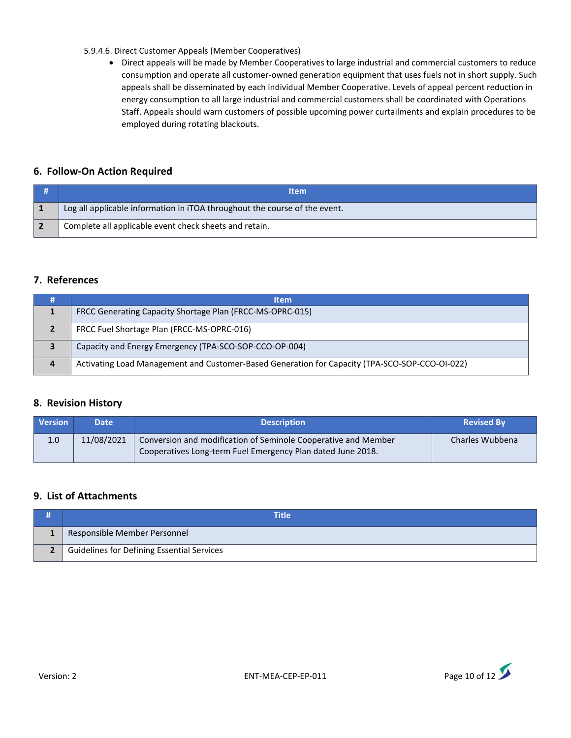#### 5.9.4.6. Direct Customer Appeals (Member Cooperatives)

 Direct appeals will be made by Member Cooperatives to large industrial and commercial customers to reduce consumption and operate all customer‐owned generation equipment that uses fuels not in short supply. Such appeals shall be disseminated by each individual Member Cooperative. Levels of appeal percent reduction in energy consumption to all large industrial and commercial customers shall be coordinated with Operations Staff. Appeals should warn customers of possible upcoming power curtailments and explain procedures to be employed during rotating blackouts.

## **6. Follow‐On Action Required**

| <b>Item</b>                                                                |  |
|----------------------------------------------------------------------------|--|
| Log all applicable information in iTOA throughout the course of the event. |  |
| Complete all applicable event check sheets and retain.                     |  |

### **7. References**

|                        | <b>Item</b>                                                                                    |  |
|------------------------|------------------------------------------------------------------------------------------------|--|
|                        | FRCC Generating Capacity Shortage Plan (FRCC-MS-OPRC-015)                                      |  |
|                        | FRCC Fuel Shortage Plan (FRCC-MS-OPRC-016)                                                     |  |
|                        | Capacity and Energy Emergency (TPA-SCO-SOP-CCO-OP-004)                                         |  |
| $\boldsymbol{\Lambda}$ | Activating Load Management and Customer-Based Generation for Capacity (TPA-SCO-SOP-CCO-OI-022) |  |

### **8. Revision History**

| <b>Version</b> | <b>Date</b> | <b>Description</b>                                                                                                            | <b>Revised By</b> |
|----------------|-------------|-------------------------------------------------------------------------------------------------------------------------------|-------------------|
| 1.0            | 11/08/2021  | Conversion and modification of Seminole Cooperative and Member<br>Cooperatives Long-term Fuel Emergency Plan dated June 2018. | Charles Wubbena   |

## **9. List of Attachments**

| Title                                      |
|--------------------------------------------|
| Responsible Member Personnel               |
| Guidelines for Defining Essential Services |

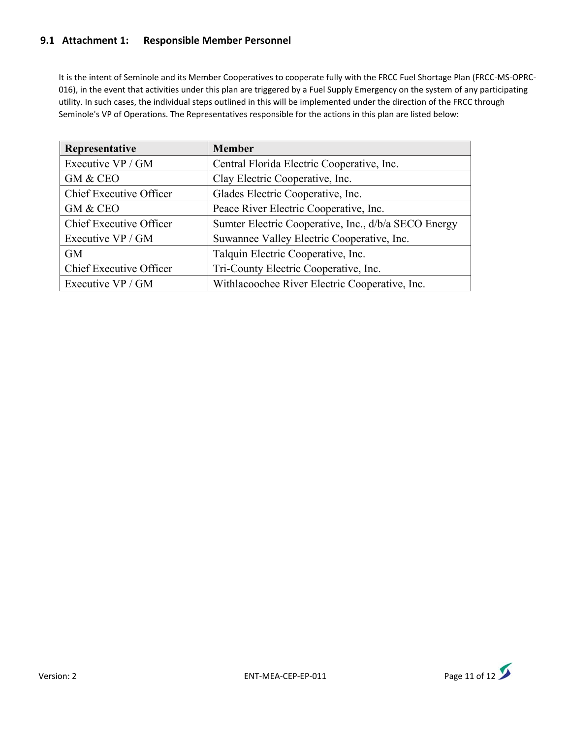## **9.1 Attachment 1: Responsible Member Personnel**

It is the intent of Seminole and its Member Cooperatives to cooperate fully with the FRCC Fuel Shortage Plan (FRCC‐MS‐OPRC‐ 016), in the event that activities under this plan are triggered by a Fuel Supply Emergency on the system of any participating utility. In such cases, the individual steps outlined in this will be implemented under the direction of the FRCC through Seminole's VP of Operations. The Representatives responsible for the actions in this plan are listed below:

| Representative          | <b>Member</b>                                        |
|-------------------------|------------------------------------------------------|
| Executive VP / GM       | Central Florida Electric Cooperative, Inc.           |
| GM & CEO                | Clay Electric Cooperative, Inc.                      |
| Chief Executive Officer | Glades Electric Cooperative, Inc.                    |
| GM & CEO                | Peace River Electric Cooperative, Inc.               |
| Chief Executive Officer | Sumter Electric Cooperative, Inc., d/b/a SECO Energy |
| Executive VP / GM       | Suwannee Valley Electric Cooperative, Inc.           |
| <b>GM</b>               | Talquin Electric Cooperative, Inc.                   |
| Chief Executive Officer | Tri-County Electric Cooperative, Inc.                |
| Executive VP / GM       | Withlacoochee River Electric Cooperative, Inc.       |